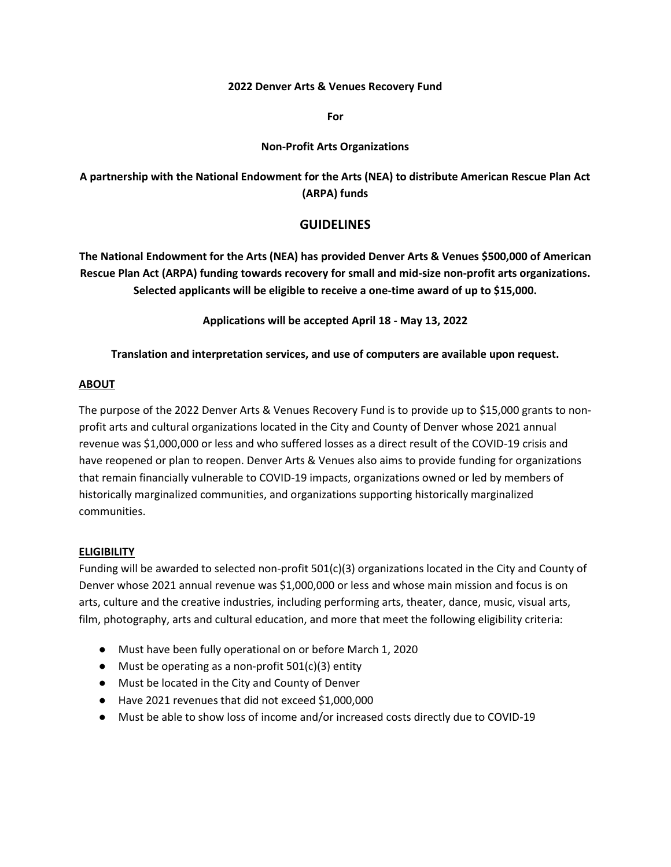#### **2022 Denver Arts & Venues Recovery Fund**

**For** 

#### **Non-Profit Arts Organizations**

# **A partnership with the National Endowment for the Arts (NEA) to distribute American Rescue Plan Act (ARPA) funds**

### **GUIDELINES**

**The National Endowment for the Arts (NEA) has provided Denver Arts & Venues \$500,000 of American Rescue Plan Act (ARPA) funding towards recovery for small and mid-size non-profit arts organizations. Selected applicants will be eligible to receive a one-time award of up to \$15,000.** 

**Applications will be accepted April 18 - May 13, 2022** 

### **Translation and interpretation services, and use of computers are available upon request.**

### **ABOUT**

The purpose of the 2022 Denver Arts & Venues Recovery Fund is to provide up to \$15,000 grants to nonprofit arts and cultural organizations located in the City and County of Denver whose 2021 annual revenue was \$1,000,000 or less and who suffered losses as a direct result of the COVID-19 crisis and have reopened or plan to reopen. Denver Arts & Venues also aims to provide funding for organizations that remain financially vulnerable to COVID-19 impacts, organizations owned or led by members of historically marginalized communities, and organizations supporting historically marginalized communities.

### **ELIGIBILITY**

Funding will be awarded to selected non-profit 501(c)(3) organizations located in the City and County of Denver whose 2021 annual revenue was \$1,000,000 or less and whose main mission and focus is on arts, culture and the creative industries, including performing arts, theater, dance, music, visual arts, film, photography, arts and cultural education, and more that meet the following eligibility criteria:

- Must have been fully operational on or before March 1, 2020
- $\bullet$  Must be operating as a non-profit 501(c)(3) entity
- Must be located in the City and County of Denver
- Have 2021 revenues that did not exceed \$1,000,000
- Must be able to show loss of income and/or increased costs directly due to COVID-19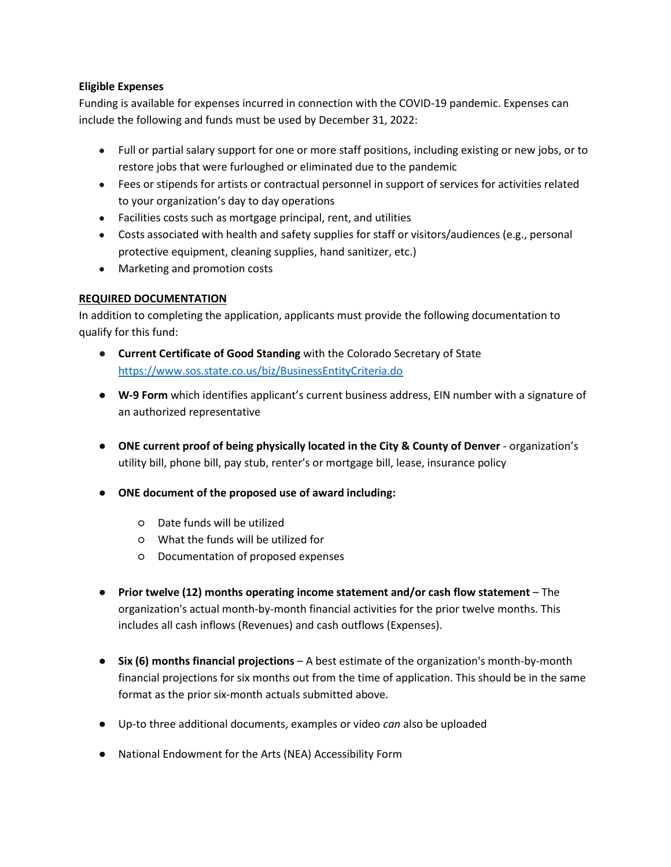### **Eligible Expenses**

Funding is available for expenses incurred in connection with the COVID-19 pandemic. Expenses can include the following and funds must be used by December 31, 2022:

- Full or partial salary support for one or more staff positions, including existing or new jobs, or to restore jobs that were furloughed or eliminated due to the pandemic
- Fees or stipends for artists or contractual personnel in support of services for activities related to your organization's day to day operations
- Facilities costs such as mortgage principal, rent, and utilities
- Costs associated with health and safety supplies for staff or visitors/audiences (e.g., personal protective equipment, cleaning supplies, hand sanitizer, etc.)
- Marketing and promotion costs

## **REQUIRED DOCUMENTATION**

In addition to completing the application, applicants must provide the following documentation to qualify for this fund:

- **Current Certificate of Good Standing** with the Colorado Secretary of State <https://www.sos.state.co.us/biz/BusinessEntityCriteria.do>
- **W-9 Form** which identifies applicant's current business address, EIN number with a signature of an authorized representative
- **ONE current proof of being physically located in the City & County of Denver** organization's utility bill, phone bill, pay stub, renter's or mortgage bill, lease, insurance policy
- **ONE document of the proposed use of award including:**
	- Date funds will be utilized
	- What the funds will be utilized for
	- Documentation of proposed expenses
- **Prior twelve (12) months operating income statement and/or cash flow statement**  The organization's actual month-by-month financial activities for the prior twelve months. This includes all cash inflows (Revenues) and cash outflows (Expenses).
- **Six (6) months financial projections**  A best estimate of the organization's month-by-month financial projections for six months out from the time of application. This should be in the same format as the prior six-month actuals submitted above.
- Up-to three additional documents, examples or video *can* also be uploaded
- National Endowment for the Arts (NEA) Accessibility Form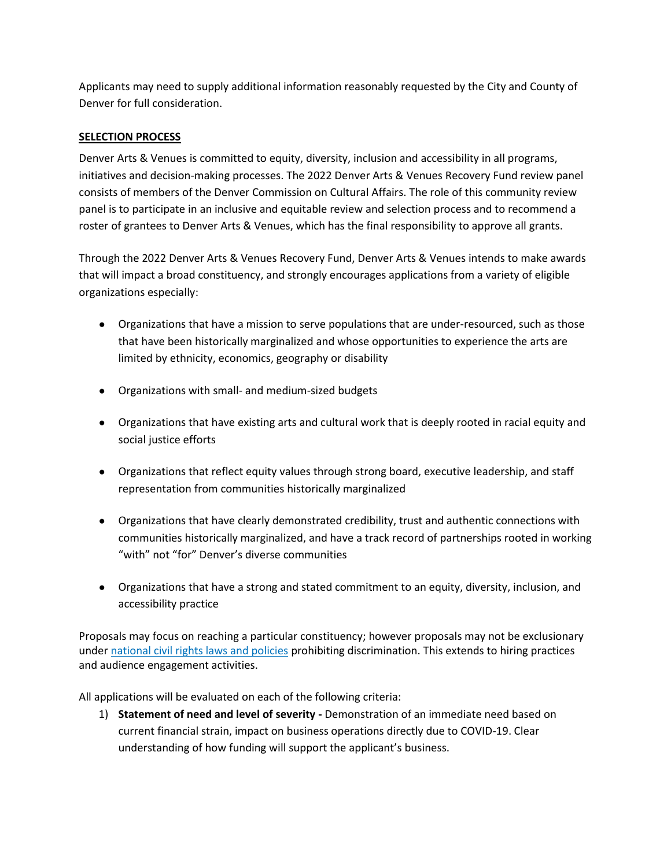Applicants may need to supply additional information reasonably requested by the City and County of Denver for full consideration.

### **SELECTION PROCESS**

Denver Arts & Venues is committed to equity, diversity, inclusion and accessibility in all programs, initiatives and decision-making processes. The 2022 Denver Arts & Venues Recovery Fund review panel consists of members of the Denver Commission on Cultural Affairs. The role of this community review panel is to participate in an inclusive and equitable review and selection process and to recommend a roster of grantees to Denver Arts & Venues, which has the final responsibility to approve all grants.

Through the 2022 Denver Arts & Venues Recovery Fund, Denver Arts & Venues intends to make awards that will impact a broad constituency, and strongly encourages applications from a variety of eligible organizations especially:

- Organizations that have a mission to serve populations that are under-resourced, such as those that have been historically marginalized and whose opportunities to experience the arts are limited by ethnicity, economics, geography or disability
- Organizations with small- and medium-sized budgets
- Organizations that have existing arts and cultural work that is deeply rooted in racial equity and social justice efforts
- Organizations that reflect equity values through strong board, executive leadership, and staff representation from communities historically marginalized
- Organizations that have clearly demonstrated credibility, trust and authentic connections with communities historically marginalized, and have a track record of partnerships rooted in working "with" not "for" Denver's diverse communities
- Organizations that have a strong and stated commitment to an equity, diversity, inclusion, and accessibility practice

Proposals may focus on reaching a particular constituency; however proposals may not be exclusionary under [national civil rights laws and policies](https://www.arts.gov/sites/default/files/GTC-for-organizations-rev2-12.14.20.pdf#page=22) prohibiting discrimination. This extends to hiring practices and audience engagement activities.

All applications will be evaluated on each of the following criteria:

1) **Statement of need and level of severity -** Demonstration of an immediate need based on current financial strain, impact on business operations directly due to COVID-19. Clear understanding of how funding will support the applicant's business.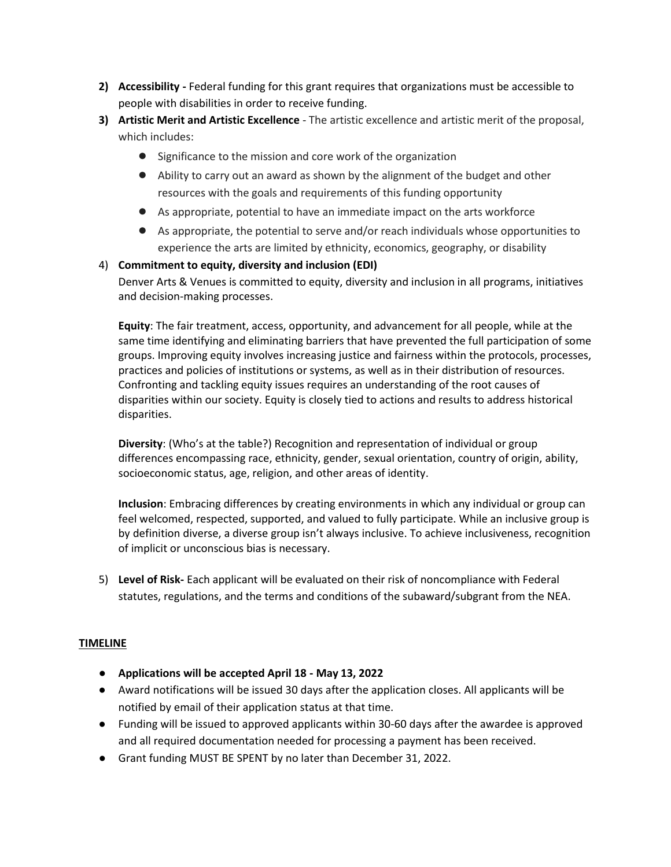- **2) Accessibility -** Federal funding for this grant requires that organizations must be accessible to people with disabilities in order to receive funding.
- **3) Artistic Merit and Artistic Excellence** The artistic excellence and artistic merit of the proposal, which includes:
	- Significance to the mission and core work of the organization
	- Ability to carry out an award as shown by the alignment of the budget and other resources with the goals and requirements of this funding opportunity
	- As appropriate, potential to have an immediate impact on the arts workforce
	- As appropriate, the potential to serve and/or reach individuals whose opportunities to experience the arts are limited by ethnicity, economics, geography, or disability

## 4) **Commitment to equity, diversity and inclusion (EDI)**

Denver Arts & Venues is committed to equity, diversity and inclusion in all programs, initiatives and decision-making processes.

**Equity**: The fair treatment, access, opportunity, and advancement for all people, while at the same time identifying and eliminating barriers that have prevented the full participation of some groups. Improving equity involves increasing justice and fairness within the protocols, processes, practices and policies of institutions or systems, as well as in their distribution of resources. Confronting and tackling equity issues requires an understanding of the root causes of disparities within our society. Equity is closely tied to actions and results to address historical disparities.

**Diversity**: (Who's at the table?) Recognition and representation of individual or group differences encompassing race, ethnicity, gender, sexual orientation, country of origin, ability, socioeconomic status, age, religion, and other areas of identity.

**Inclusion**: Embracing differences by creating environments in which any individual or group can feel welcomed, respected, supported, and valued to fully participate. While an inclusive group is by definition diverse, a diverse group isn't always inclusive. To achieve inclusiveness, recognition of implicit or unconscious bias is necessary.

5) **Level of Risk-** Each applicant will be evaluated on their risk of noncompliance with Federal statutes, regulations, and the terms and conditions of the subaward/subgrant from the NEA.

### **TIMELINE**

- **Applications will be accepted April 18 May 13, 2022**
- Award notifications will be issued 30 days after the application closes. All applicants will be notified by email of their application status at that time.
- Funding will be issued to approved applicants within 30-60 days after the awardee is approved and all required documentation needed for processing a payment has been received.
- Grant funding MUST BE SPENT by no later than December 31, 2022.